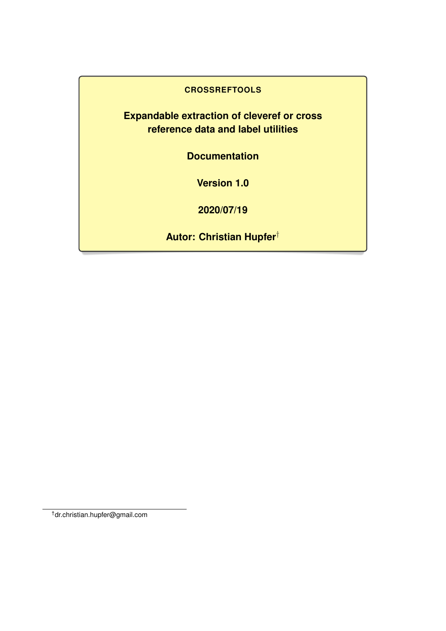### **CROSSREFTOOLS**

**Expandable extraction of cleveref or cross reference data and label utilities**

**Documentation**

**Version 1.0**

**2020/07/19**

**Autor: Christian Hupfer**†

†dr.christian.hupfer@gmail.com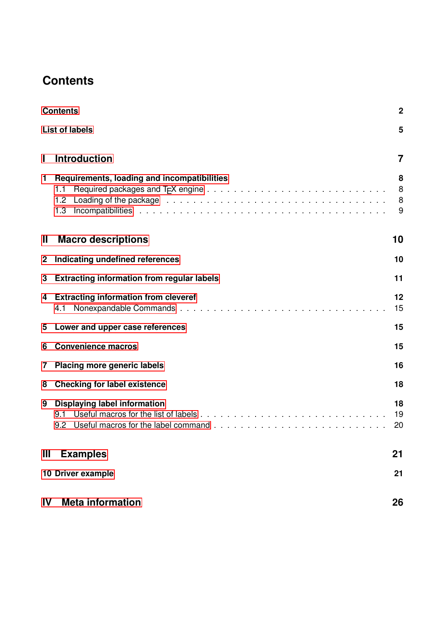# <span id="page-1-0"></span>**Contents**

|             | <b>Contents</b><br>$\mathbf 2$                                   |                  |  |
|-------------|------------------------------------------------------------------|------------------|--|
|             | <b>List of labels</b>                                            | 5                |  |
| I           | <b>Introduction</b>                                              | 7                |  |
| 1           | Requirements, loading and incompatibilities<br>1.1<br>1.2<br>1.3 | 8<br>8<br>8<br>9 |  |
| Ш           | <b>Macro descriptions</b>                                        | 10               |  |
| $\mathbf 2$ | Indicating undefined references                                  | 10               |  |
| 3           | <b>Extracting information from regular labels</b>                | 11               |  |
| 4           | <b>Extracting information from cleveref</b><br>4.1               | 12<br>15         |  |
| 5           | Lower and upper case references                                  | 15               |  |
| 6           | <b>Convenience macros</b>                                        | 15               |  |
| 7           | <b>Placing more generic labels</b>                               | 16               |  |
| 8           | <b>Checking for label existence</b>                              | 18               |  |
| 9           | <b>Displaying label information</b><br>9.1<br>9.2                | 18<br>19<br>20   |  |
| Ш           | <b>Examples</b>                                                  | 21               |  |
|             | 10 Driver example                                                | 21               |  |
| IV          | <b>Meta information</b>                                          | 26               |  |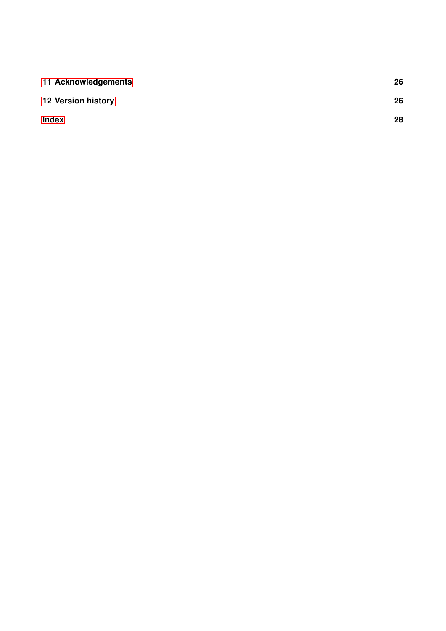| 11 Acknowledgements       | 26 |
|---------------------------|----|
| <b>12 Version history</b> | 26 |
| <b>Index</b>              | 28 |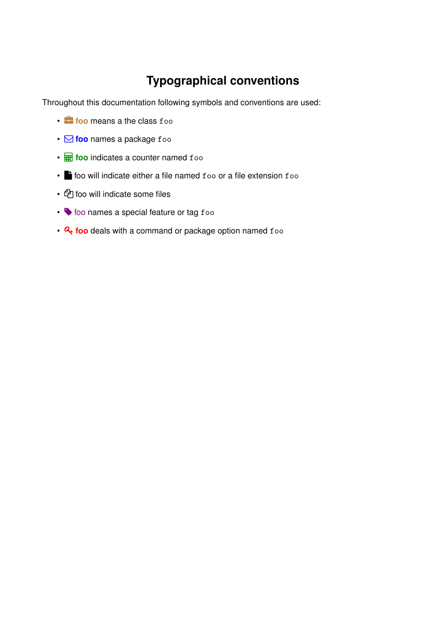# **Typographical conventions**

Throughout this documentation following symbols and conventions are used:

- **foo** means a the class foo
- Q **foo** names a package foo
- **F** foo indicates a counter named foo
- **h** foo will indicate either a file named foo or a file extension foo
- @ foo will indicate some files
- $\blacklozenge$  foo names a special feature or tag foo
- $\mathbf{Q}_e$  foo deals with a command or package option named foo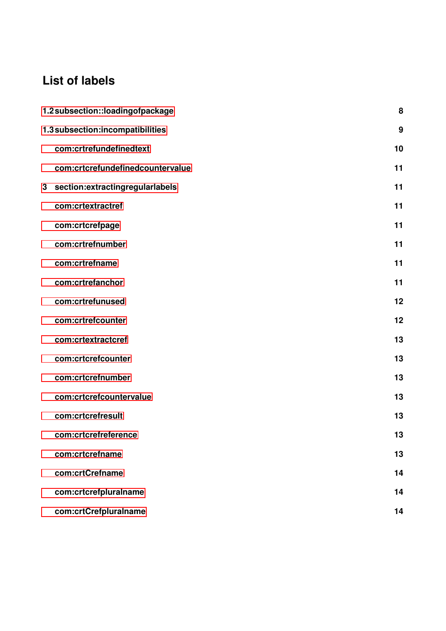# <span id="page-4-0"></span>**List of labels**

|   | 1.2 subsection::loadingofpackage<br>8 |    |
|---|---------------------------------------|----|
|   | 1.3 subsection:incompatibilities      | 9  |
|   | com:crtrefundefinedtext               | 10 |
|   | com:crtcrefundefinedcountervalue      | 11 |
| 3 | section:extractingregularlabels       | 11 |
|   | com:crtextractref                     | 11 |
|   | com:crtcrefpage                       | 11 |
|   | com:crtrefnumber                      | 11 |
|   | com:crtrefname                        | 11 |
|   | com:crtrefanchor                      | 11 |
|   | com:crtrefunused                      | 12 |
|   | com:crtrefcounter                     | 12 |
|   | com:crtextractcref                    | 13 |
|   | com:crtcrefcounter                    | 13 |
|   | com:crtcrefnumber                     | 13 |
|   | com:crtcrefcountervalue               | 13 |
|   | com:crtcrefresult                     | 13 |
|   | com:crtcrefreference                  | 13 |
|   | com:crtcrefname                       | 13 |
|   | com:crtCrefname                       | 14 |
|   | com:crtcrefpluralname                 | 14 |
|   | com:crtCrefpluralname                 | 14 |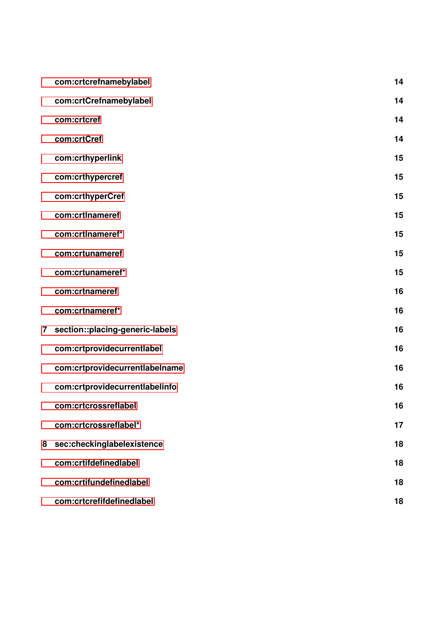|   | com:crtcrefnamebylabel          | 14 |
|---|---------------------------------|----|
|   | com:crtCrefnamebylabel          | 14 |
|   | com:crtcref                     | 14 |
|   | com:crtCref                     | 14 |
|   | com:crthyperlink                | 15 |
|   | com:crthypercref                | 15 |
|   | com:crthyperCref                | 15 |
|   | com:crtlnameref                 | 15 |
|   | com:crtlnameref*                | 15 |
|   | com:crtunameref                 | 15 |
|   | com:crtunameref*                | 15 |
|   | com:crtnameref                  | 16 |
|   | com:crtnameref*                 | 16 |
| 7 | section::placing-generic-labels | 16 |
|   | com:crtprovidecurrentlabel      | 16 |
|   | com:crtprovidecurrentlabelname  | 16 |
|   | com:crtprovidecurrentlabelinfo  | 16 |
|   | com:crtcrossreflabel            | 16 |
|   | com:crtcrossreflabel*           | 17 |
| 8 | sec:checkinglabelexistence      | 18 |
|   | com:crtifdefinedlabel           | 18 |
|   | com:crtifundefinedlabel         | 18 |
|   | com:crtcrefifdefinedlabel       | 18 |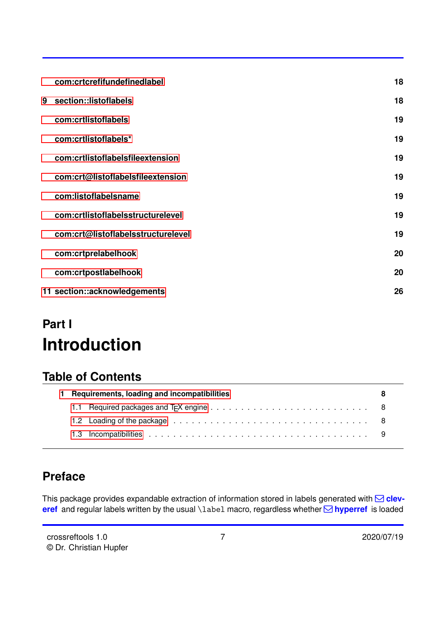<span id="page-6-1"></span>

|   | com:crtcrefifundefinedlabel        | 18 |
|---|------------------------------------|----|
| 9 | section::listoflabels              | 18 |
|   | com:crtlistoflabels                | 19 |
|   | com:crtlistoflabels*               | 19 |
|   | com:crtlistoflabelsfileextension   | 19 |
|   | com:crt@listoflabelsfileextension  | 19 |
|   | com:listoflabelsname               | 19 |
|   | com:crtlistoflabelsstructurelevel  | 19 |
|   | com:crt@listoflabelsstructurelevel | 19 |
|   | com:crtprelabelhook                | 20 |
|   | com:crtpostlabelhook               | 20 |
|   | 11 section::acknowledgements       | 26 |

# <span id="page-6-0"></span>**Part I Introduction**

# **Table of Contents**

| Requirements, loading and incompatibilities                                                                                                                                                                                    |  |
|--------------------------------------------------------------------------------------------------------------------------------------------------------------------------------------------------------------------------------|--|
|                                                                                                                                                                                                                                |  |
| 1.2 Loading of the package education is a series of the package education is a series of the package education is a series of the basic series of the package education is a series of the series of the basic series of the b |  |
|                                                                                                                                                                                                                                |  |

# **Preface**

This package provides expandable extraction of information stored in labels generated with **⊠ cleveref** and regular labels written by the usual \label macro, regardless whether  $\boxtimes$  **hyperref** is loaded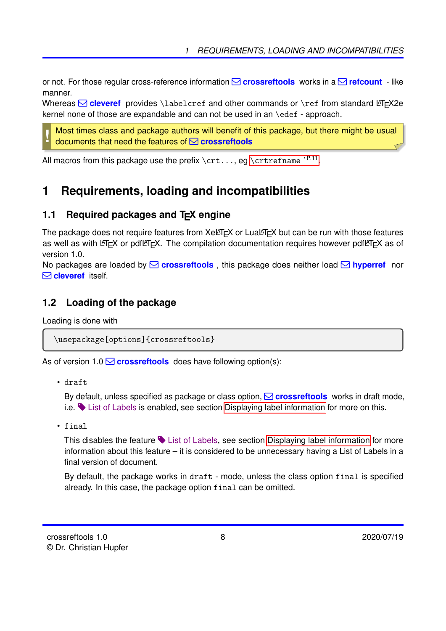<span id="page-7-3"></span>or not. For those regular cross-reference information  $\Box$  **crossreftools** works in a  $\Box$  **refcount** - like manner.

Whereas  $\boxdot$  cleveref provides *\labelcref and other commands or \ref from standard LATEX2e* kernel none of those are expandable and can not be used in an \edef - approach.

Most times class and package authors will benefit of this package, but there might be usual documents that need the features of Q **crossreftools**

All macros from this package use the prefix  $\texttt{\char'{1}}\cup\texttt{c}$  ,  $\ldots$  , eg  $\texttt{\char'{1}}\cup\texttt{c}$ 

# <span id="page-7-0"></span>**1 Requirements, loading and incompatibilities**

### <span id="page-7-1"></span>**1.1 Required packages and T<sub>F</sub>X engine**

The package does not require features from  $XeE\nabla F$  or Lua $E\nabla F$  but can be run with those features as well as with LATEX or pdfLATEX. The compilation documentation requires however pdfLATEX as of version 1.0.

No packages are loaded by **○ crossreftools**, this package does neither load **○ hyperref** nor Q **cleveref** itself.

### <span id="page-7-2"></span>**1.2 Loading of the package**

Loading is done with

**!**

\usepackage[options]{crossreftools}

As of version  $1.0 \times$  **crossreftools** does have following option(s):

• draft

By default, unless specified as package or class option, **Q crossreftools** works in draft mode, i.e.  $\blacktriangleright$  List of Labels is enabled, see section [Displaying label information](#page-17-1) for more on this.

• final

This disables the feature  $\blacklozenge$  List of Labels, see section [Displaying label information](#page-17-1) for more information about this feature – it is considered to be unnecessary having a List of Labels in a final version of document.

By default, the package works in draft - mode, unless the class option final is specified already. In this case, the package option final can be omitted.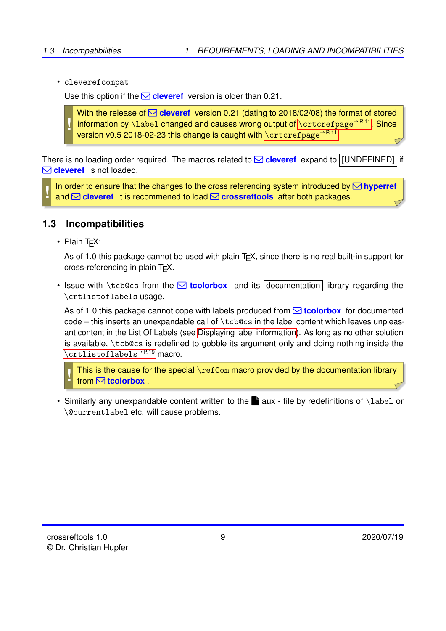<span id="page-8-1"></span>• cleverefcompat

Use this option if the  $\Box$  **cleveref** version is older than 0.21.

**!** With the release of  $\leq$  **cleveref** version 0.21 (dating to 2018/02/08) the format of stored information by \label changed and causes wrong output of [\crtcrefpage](#page-10-3)<sup>→P.11</sup>. Since version v0.5 2018-02-23 this change is caught with  $\zeta$ rtcrefpage<sup>→P.11</sup>.

There is no loading order required. The macros related to  $\boxtimes$  **cleveref** expand to [JUNDEFINED] if Q **cleveref** is not loaded.

**!** In order to ensure that the changes to the cross referencing system introduced by  $\boxtimes$  hyperref and Q **cleveref** it is recommened to load Q **crossreftools** after both packages.

### <span id="page-8-0"></span>**1.3 Incompatibilities**

• Plain T<sub>F</sub>X:

As of 1.0 this package cannot be used with plain  $T \not\subset X$ , since there is no real built-in support for cross-referencing in plain T<sub>F</sub>X.

• Issue with \tcb@cs from the  $\boxtimes$  **tcolorbox** and its documentation library regarding the \crtlistoflabels usage.

As of 1.0 this package cannot cope with labels produced from Q **tcolorbox** for documented code – this inserts an unexpandable call of \tcb@cs in the label content which leaves unpleasant content in the List Of Labels (see [Displaying label information\)](#page-17-1). As long as no other solution is available, \tcb@cs is redefined to gobble its argument only and doing nothing inside the [\crtlistoflabels](#page-18-1)<sup>→</sup> P. 19 macro.

**!** This is the cause for the special \refCom macro provided by the documentation library from Q **tcolorbox** .

• Similarly any unexpandable content written to the  $\blacksquare$  aux - file by redefinitions of \label or \@currentlabel etc. will cause problems.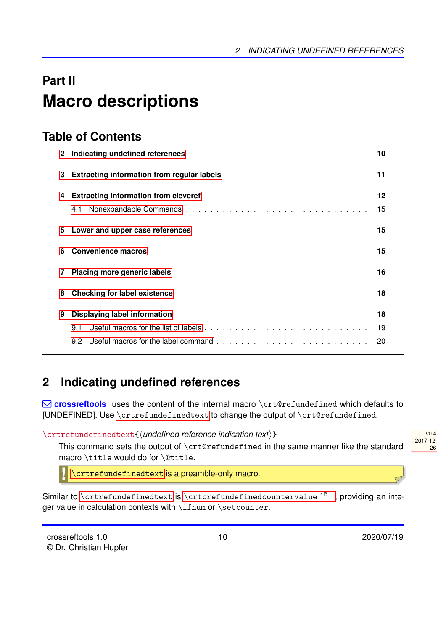# <span id="page-9-3"></span><span id="page-9-0"></span>**Part II Macro descriptions**

# **Table of Contents**

| 2 <sup>1</sup> | Indicating undefined references                   | 10      |
|----------------|---------------------------------------------------|---------|
| 3              | <b>Extracting information from regular labels</b> | 11      |
| 4              | <b>Extracting information from cleveref</b>       | $12 \,$ |
|                | 4.1                                               | 15      |
| 5.             | Lower and upper case references                   | 15      |
| 6              | <b>Convenience macros</b>                         | 15      |
| 7              | <b>Placing more generic labels</b>                | 16      |
| 8              | <b>Checking for label existence</b>               | 18      |
| 9              | <b>Displaying label information</b>               | 18      |
|                | 9.1                                               | 19      |
|                |                                                   | 20      |

# <span id="page-9-1"></span>**2 Indicating undefined references**

Q **crossreftools** uses the content of the internal macro \crt@refundefined which defaults to [UNDEFINED]. Use [\crtrefundefinedtext](#page-9-2) to change the output of \crt@refundefined.

<span id="page-9-2"></span>\crtrefundefinedtext{h*undefined reference indication text*i}

This command sets the output of \crt@refundefined in the same manner like the standard macro \title would do for \@title.

**!** [\crtrefundefinedtext](#page-9-2) is a preamble-only macro.

Similar to  $\c{rtrefundefinedtext is \c{rtrrefundefinedcountervalue}^{P.11}$ , providing an integer value in calculation contexts with \ifnum or \setcounter.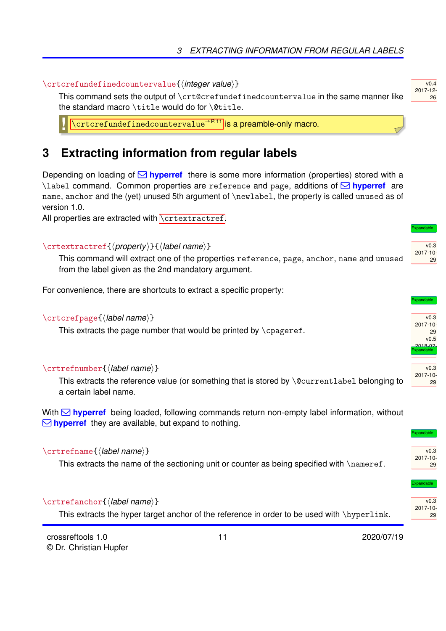#### <span id="page-10-7"></span><span id="page-10-1"></span>\crtcrefundefinedcountervalue{\*integer value*}}

This command sets the output of \crt@crefundefinedcountervalue in the same manner like the standard macro \title would do for \@title.

[\crtcrefundefinedcountervalue](#page-10-1)<sup>→</sup> P. 11 is a preamble-only macro.

### <span id="page-10-0"></span>**3 Extracting information from regular labels**

Depending on loading of  $\boxtimes$  **hyperref** there is some more information (properties) stored with a \label command. Common properties are reference and page, additions of Q **hyperref** are name, anchor and the (yet) unused 5th argument of \newlabel, the property is called unused as of version 1.0.

All properties are extracted with [\crtextractref](#page-10-2).

#### <span id="page-10-2"></span>\crtextractref{\*property*}}{\*label name*}}

This command will extract one of the properties reference, page, anchor, name and unused from the label given as the 2nd mandatory argument.

For convenience, there are shortcuts to extract a specific property:

#### <span id="page-10-3"></span>\crtcrefpage{*\label name*}}

**!**

This extracts the page number that would be printed by  $\epsilon$  and  $\epsilon$ .

#### <span id="page-10-4"></span>\crtrefnumber{*\label name*}}

This extracts the reference value (or something that is stored by \@currentlabel belonging to a certain label name.

With  $\Box$  **hyperref** being loaded, following commands return non-empty label information, without  $\Box$  **hyperref** they are available, but expand to nothing.

#### <span id="page-10-5"></span>\crtrefname{*\label name*}}

This extracts the name of the sectioning unit or counter as being specified with \nameref.

#### <span id="page-10-6"></span>\crtrefanchor{\*label name*}}

This extracts the hyper target anchor of the reference in order to be used with \hyperlink.

11 2020/07/19



 $v<sub>0</sub>$  4 2017-12- 26

### 2017-10- 29



v0.3



 $v<sub>0.3</sub>$ 2017-10- 29

Expandable

Expandable

v0.3 2017-10- 29

 $\overline{3}$ 2017-10- 29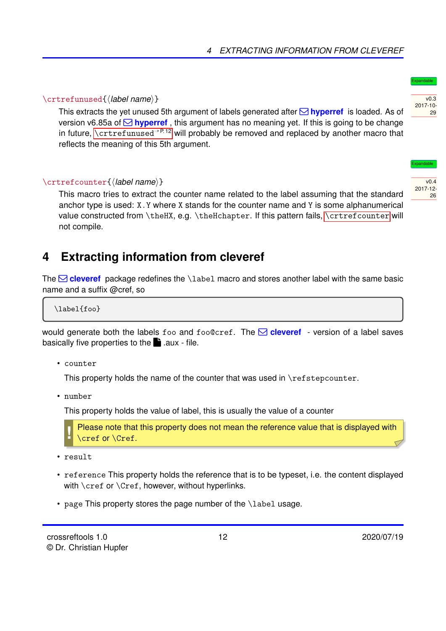### <span id="page-11-3"></span><span id="page-11-1"></span>\crtrefunused{*\label name*}}

This extracts the yet unused 5th argument of labels generated after  $\boxtimes$  **hyperref** is loaded. As of version v6.85a of  $\boxtimes$  **hyperref**, this argument has no meaning yet. If this is going to be change in future,  $\zeta$  at refunused<sup>→ P. 12</sup> will probably be removed and replaced by another macro that reflects the meaning of this 5th argument.

### <span id="page-11-2"></span>\crtrefcounter{*\label name*}}

This macro tries to extract the counter name related to the label assuming that the standard anchor type is used: X.Y where X stands for the counter name and Y is some alphanumerical value constructed from \theHX, e.g. \theHchapter. If this pattern fails, [\crtrefcounter](#page-11-2) will not compile.

# <span id="page-11-0"></span>**4 Extracting information from cleveref**

The  $\Box$  cleveref package redefines the \label macro and stores another label with the same basic name and a suffix @cref, so

\label{foo}

would generate both the labels foo and foo@cref. The  $\boxtimes$  **cleveref** - version of a label saves basically five properties to the  $\blacksquare$  .aux - file.

• counter

This property holds the name of the counter that was used in \refstepcounter.

• number

This property holds the value of label, this is usually the value of a counter

**!** Please note that this property does not mean the reference value that is displayed with \cref or \Cref.

- result
- reference This property holds the reference that is to be typeset, i.e. the content displayed with \cref or \Cref, however, without hyperlinks.
- page This property stores the page number of the \label usage.



Expandable

 $v<sub>0</sub>$ 4 2017-12- 26

v0.3

Expandable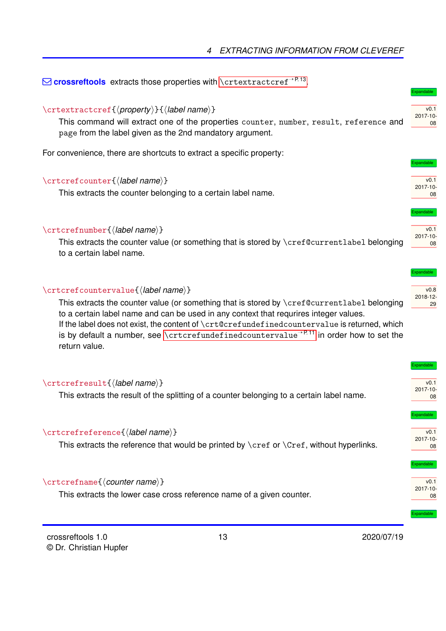<span id="page-12-7"></span> $\boxdot$  crossreftools extracts those properties with [\crtextractcref](#page-12-0)<sup>→P.13</sup>.

### <span id="page-12-0"></span>\crtextractcref{\property\}{\*label name*\}

This command will extract one of the properties counter, number, result, reference and page from the label given as the 2nd mandatory argument.

For convenience, there are shortcuts to extract a specific property:

#### <span id="page-12-1"></span>\crtcrefcounter{*\label name*}}

This extracts the counter belonging to a certain label name.

#### <span id="page-12-2"></span>\crtcrefnumber{\*label name*}}

This extracts the counter value (or something that is stored by \cref@currentlabel belonging to a certain label name.

#### <span id="page-12-3"></span>\crtcrefcountervalue{\*label name*}}

This extracts the counter value (or something that is stored by \cref@currentlabel belonging to a certain label name and can be used in any context that requrires integer values.

If the label does not exist, the content of \crt@crefundefinedcountervalue is returned, which is by default a number, see [\crtcrefundefinedcountervalue](#page-10-1)<sup>→ P.11</sup> in order how to set the return value.

#### <span id="page-12-4"></span>\crtcrefresult{\*label name*}}

This extracts the result of the splitting of a counter belonging to a certain label name.

#### <span id="page-12-5"></span>\crtcrefreference{\*label name*}}

This extracts the reference that would be printed by  $\cref$  or  $\Cref$ , without hyperlinks.

#### <span id="page-12-6"></span>\crtcrefname{*\counter name*}}

This extracts the lower case cross reference name of a given counter.



13 2020/07/19



Expandable

Expandable

Expandable

v0.1 2017-10- 08

v0.1 2017-10- 08



| Expandable       |
|------------------|
|                  |
| v <sub>0.1</sub> |
| $2017 - 10 -$    |

pandable

Expandable

 $\overline{v_0}$  1 2017-10- 08

 $\overline{v0.1}$ 2017-10- 08

08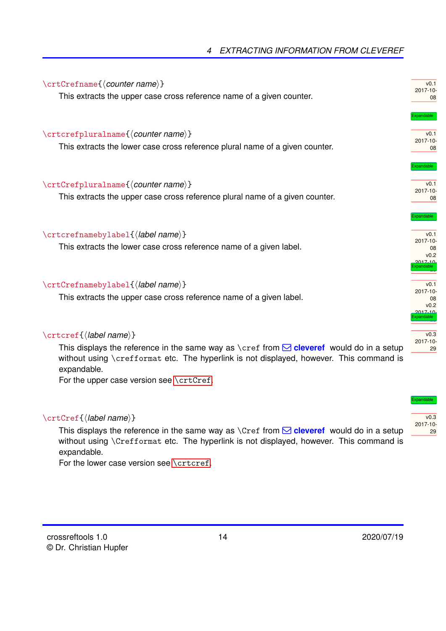### *4 EXTRACTING INFORMATION FROM CLEVEREF*

<span id="page-13-7"></span><span id="page-13-2"></span><span id="page-13-1"></span><span id="page-13-0"></span>

| $\crtCrefname{\langle countername}\rangle$<br>This extracts the upper case cross reference name of a given counter.           | v0.1<br>2017-10-<br>08                                                         |
|-------------------------------------------------------------------------------------------------------------------------------|--------------------------------------------------------------------------------|
| $\crtcrefpluralname({\textit{counter name}})$<br>This extracts the lower case cross reference plural name of a given counter. | <b>Expandable</b><br>v0.1<br>2017-10-<br>08                                    |
| \crtCrefpluralname{\counter name}}<br>This extracts the upper case cross reference plural name of a given counter.            | <b>xpandable</b><br>v0.1<br>2017-10-<br>08                                     |
| \crtcrefnamebylabel{\\\station\)}<br>This extracts the lower case cross reference name of a given label.                      | <b>Expandable</b><br>v0.1<br>2017-10-<br>08<br>v <sub>0.2</sub><br>$2017 - 10$ |
| \crtCrefnamebylabel{\\\abelname\}<br>This extracts the upper case cross reference name of a given label.                      | pandable<br>v0.1<br>2017-10-<br>08<br>v0.2<br>2017.10                          |
| \crtcref{\label name}}<br>This displays the reference in the same way as $\csc$ from $\odot$ cleveref would do in a setup     | pandable<br>v0.3<br>2017-10-<br>29                                             |

<span id="page-13-5"></span><span id="page-13-4"></span><span id="page-13-3"></span>This displays the reference in the same way as \cref from  $\Box$  **cleveref** would do in a setup without using \crefformat etc. The hyperlink is not displayed, however. This command is expandable.

For the upper case version see [\crtCref](#page-13-6).

#### <span id="page-13-6"></span>\crtCref{\*label name*}}

This displays the reference in the same way as  $\text{Cref}$  from  $\text{C}$  cleveref would do in a setup without using \Crefformat etc. The hyperlink is not displayed, however. This command is expandable.

For the lower case version see [\crtcref](#page-13-5).

Expandable

 $\overline{v_0}$ 2017-10- 29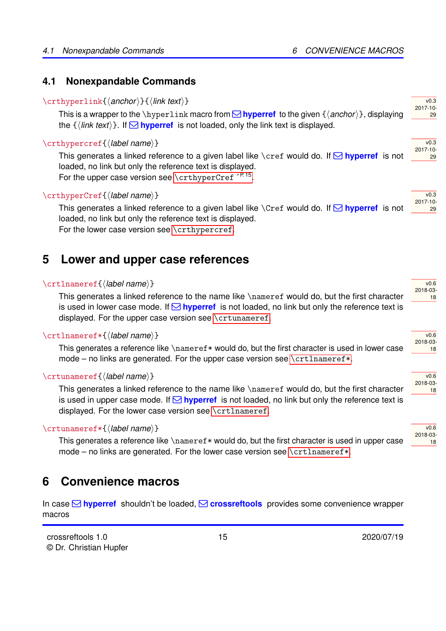### <span id="page-14-10"></span><span id="page-14-0"></span>**4.1 Nonexpandable Commands**

#### <span id="page-14-3"></span>\crthyperlink{\*anchor*}}{\*link text*}}

This is a wrapper to the \hyperlink macro from  $\Box$  **hyperref** to the given  $\{\langle anchor\rangle\}$ , displaying the  $\{\langle \text{link text} \rangle\}$ . If  $\Box$  **hyperref** is not loaded, only the link text is displayed.

#### <span id="page-14-4"></span>\crthypercref{\*label name*}}

This generates a linked reference to a given label like \cref would do. If  $\Box$  hyperref is not loaded, no link but only the reference text is displayed. For the upper case version see [\crthyperCref](#page-14-5)<sup>→P.15</sup>.

#### <span id="page-14-5"></span>\crthyperCref{\*label name*}}

2017-10- 29 This generates a linked reference to a given label like  $\text{Cref}$  would do. If  $\Omega$  hyperref is not loaded, no link but only the reference text is displayed. For the lower case version see [\crthypercref](#page-14-4).

# <span id="page-14-1"></span>**5 Lower and upper case references**

#### <span id="page-14-6"></span>\crtlnameref{\*label name*}}

This generates a linked reference to the name like \nameref would do, but the first character is used in lower case mode. If  $\Box$  **hyperref** is not loaded, no link but only the reference text is displayed. For the upper case version see [\crtunameref](#page-14-8).

#### <span id="page-14-7"></span>\crtlnameref\*{\*label name*}}

This generates a reference like  $\name f *$  would do, but the first character is used in lower case mode – no links are generated. For the upper case version see  $\c{critiameter*}$ .

#### <span id="page-14-8"></span>\crtunameref{\*label name*}}

This generates a linked reference to the name like \nameref would do, but the first character is used in upper case mode. If  $\Box$  **hyperref** is not loaded, no link but only the reference text is displayed. For the lower case version see [\crtlnameref](#page-14-6).

#### <span id="page-14-9"></span>\crtunameref\*{\*label name*}}

This generates a reference like \nameref\* would do, but the first character is used in upper case mode – no links are generated. For the lower case version see  $\{\text{orthameref*}\$ .

### <span id="page-14-2"></span>**6 Convenience macros**

In case Q **hyperref** shouldn't be loaded, Q **crossreftools** provides some convenience wrapper macros

 $v(0.6)$ 2018-03- 18

v0.6 2018-03- 18

 $\overline{v}$  6 2018-03- 18

| v0.6     |  |
|----------|--|
| 2018-03- |  |
| 8        |  |

#### v0.3 2017-10- 29

 $v<sub>0.3</sub>$ 2017-10- 29

 $v<sub>0.3</sub>$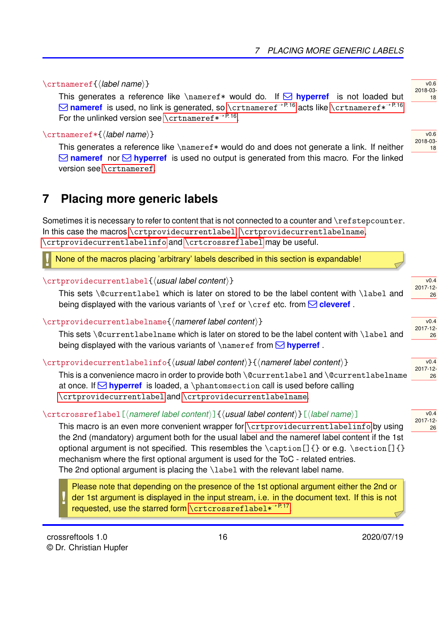#### <span id="page-15-7"></span><span id="page-15-1"></span>\crtnameref{*\label name*}}

This generates a reference like  $\langle$  hameref\* would do. If  $\triangle$  **hyperref** is not loaded but  $\Box$  **nameref** is used, no link is generated, so [\crtnameref](#page-15-1)<sup>→P.16</sup> acts like [\crtnameref\\*](#page-15-2)<sup>→P.16</sup> For the unlinked version see [\crtnameref\\*](#page-15-2)<sup>→ P.16</sup>.

#### <span id="page-15-2"></span>\crtnameref\*{\*label name*}}

This generates a reference like \nameref\* would do and does not generate a link. If neither  $\Box$  **nameref** nor  $\Box$  **hyperref** is used no output is generated from this macro. For the linked version see [\crtnameref](#page-15-1).

# <span id="page-15-0"></span>**7 Placing more generic labels**

Sometimes it is necessary to refer to content that is not connected to a counter and \refstepcounter. In this case the macros [\crtprovidecurrentlabel](#page-15-3), [\crtprovidecurrentlabelname](#page-15-4), [\crtprovidecurrentlabelinfo](#page-15-5) and [\crtcrossreflabel](#page-15-6) may be useful.

**!** None of the macros placing 'arbitrary' labels described in this section is expandable!

#### <span id="page-15-3"></span>\crtprovidecurrentlabel{h*usual label content*i}

This sets \@currentlabel which is later on stored to be the label content with \label and being displayed with the various variants of  $\lceil \text{er} \rceil$  or  $\lceil \text{er} \rceil$  etc. from  $\lceil \text{er} \rceil$ 

#### <span id="page-15-4"></span>\crtprovidecurrentlabelname{\*nameref label content*}}

This sets \@currentlabelname which is later on stored to be the label content with \label and being displayed with the various variants of  $\langle$  nameref from  $\triangle$  **hyperref**.

#### <span id="page-15-5"></span>\crtprovidecurrentlabelinfo{h*usual label content*i}{h*nameref label content*i}

2017-12- This is a convenience macro in order to provide both \@currentlabel and \@currentlabelname at once. If  $\Box$  **hyperref** is loaded, a \phantomsection call is used before calling [\crtprovidecurrentlabel](#page-15-3) and [\crtprovidecurrentlabelname](#page-15-4).

#### <span id="page-15-6"></span>\crtcrossreflabel[h*nameref label content*i]{h*usual label content*i}[h*label name*i]

This macro is an even more convenient wrapper for [\crtprovidecurrentlabelinfo](#page-15-5) by using the 2nd (mandatory) argument both for the usual label and the nameref label content if the 1st optional argument is not specified. This resembles the  $\cap$  [] {} or e.g.  $\setminus$  section[] {} mechanism where the first optional argument is used for the ToC - related entries. The 2nd optional argument is placing the \label with the relevant label name.

Please note that depending on the presence of the 1st optional argument either the 2nd or der 1st argument is displayed in the input stream, i.e. in the document text. If this is not requested, use the starred form [\crtcrossreflabel\\*](#page-16-0)<sup>→P.17</sup>.

**!**

16 2020/07/19

18

 $v(0.6)$ 2018-03-

 $v(0.6)$ 2018-03- 18

 $v<sub>0</sub>$  4 2017-12- 26

 $v<sub>0</sub>$ 4 2017-12- 26

v0.4

26

 $v<sub>0</sub>$ 4 2017-12- 26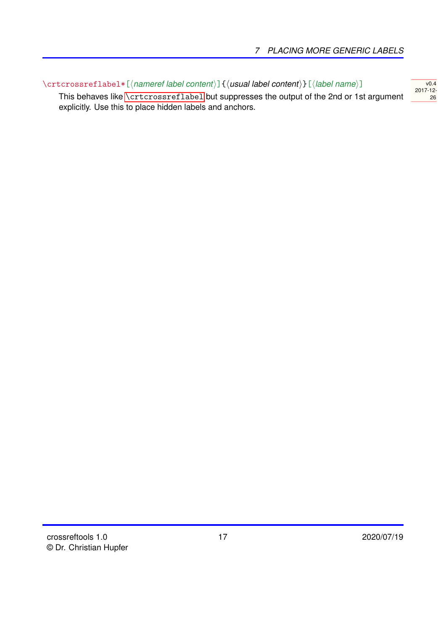$\overline{v0.4}$ 2017-12- 26

<span id="page-16-1"></span><span id="page-16-0"></span>\crtcrossreflabel\*[\*nameref label content*\]{\*usual label content*\}[\*label name*\]

This behaves like [\crtcrossreflabel](#page-15-6) but suppresses the output of the 2nd or 1st argument explicitly. Use this to place hidden labels and anchors.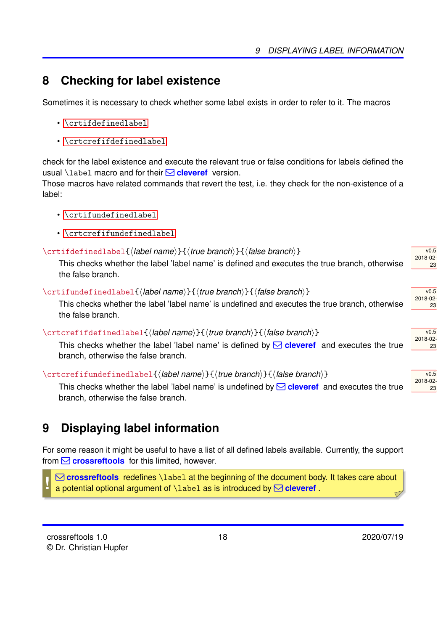# <span id="page-17-6"></span><span id="page-17-0"></span>**8 Checking for label existence**

Sometimes it is necessary to check whether some label exists in order to refer to it. The macros

- [\crtifdefinedlabel](#page-17-2)
- [\crtcrefifdefinedlabel](#page-17-4)

check for the label existence and execute the relevant true or false conditions for labels defined the usual *\label macro and for their* **Q cleveref** version.

Those macros have related commands that revert the test, i.e. they check for the non-existence of a label:

- [\crtifundefinedlabel](#page-17-3)
- [\crtcrefifundefinedlabel](#page-17-5)

### <span id="page-17-2"></span>\crtifdefinedlabel{h*label name*i}{h*true branch*i}{h*false branch*i}

This checks whether the label 'label name' is defined and executes the true branch, otherwise the false branch.

<span id="page-17-3"></span>\crtifundefinedlabel{\*label name*}}{\*true branch*}}{\*false branch*}}

This checks whether the label 'label name' is undefined and executes the true branch, otherwise the false branch.

#### <span id="page-17-4"></span>\crtcrefifdefinedlabel{*\label name*}}{*\true branch*}}{*\false branch*}}

This checks whether the label 'label name' is defined by  $\Box$  **cleveref** and executes the true branch, otherwise the false branch.

### <span id="page-17-5"></span>\crtcrefifundefinedlabel{/*label name*}}{/*true branch*}}{/*false branch*}}

This checks whether the label 'label name' is undefined by  $\Box$  cleveref and executes the true branch, otherwise the false branch.

# <span id="page-17-1"></span>**9 Displaying label information**

For some reason it might be useful to have a list of all defined labels available. Currently, the support from Q **crossreftools** for this limited, however.

**!** Q **crossreftools** redefines \label at the beginning of the document body. It takes care about a potential optional argument of  $\lambda$  abel as is introduced by  $\Box$  cleveref

 $\overline{v0.5}$ 2018-02- 23

 $v<sub>0.5</sub>$ 2018-02- 23

 $v<sub>0.5</sub>$ 2018-02- 23

 $v<sub>0.5</sub>$ 2018-02- 23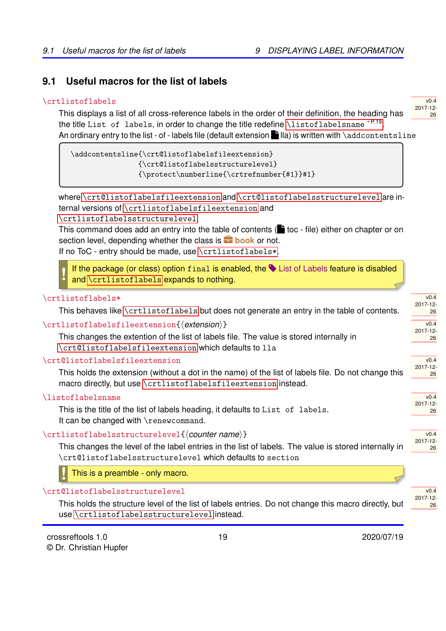### <span id="page-18-8"></span><span id="page-18-0"></span>**9.1 Useful macros for the list of labels**

#### <span id="page-18-1"></span>\crtlistoflabels

This displays a list of all cross-reference labels in the order of their definition, the heading has the title List of labels, in order to change the title redefine [\listoflabelsname](#page-18-5)<sup>→P.19</sup>. An ordinary entry to the list - of - labels file (default extension  $\Box$  lla) is written with \addcontentsline

\addcontentsline{\crt@listoflabelsfileextension} {\crt@listoflabelsstructurelevel} {\protect\numberline{\crtrefnumber{#1}}#1}

where [\crt@listoflabelsfileextension](#page-18-4) and [\crt@listoflabelsstructurelevel](#page-18-7) are internal versions of [\crtlistoflabelsfileextension](#page-18-3) and [\crtlistoflabelsstructurelevel](#page-18-6).

This command does add an entry into the table of contents ( $\bullet$  toc - file) either on chapter or on section level, depending whether the class is **book** or not.

If no ToC - entry should be made, use [\crtlistoflabels\\*](#page-18-2).

**!** If the package (or class) option  $f$ inal is enabled, the  $\blacktriangleright$  List of Labels feature is disabled and [\crtlistoflabels](#page-18-1) expands to nothing.

#### <span id="page-18-2"></span>\crtlistoflabels\*

This behaves like [\crtlistoflabels](#page-18-1) but does not generate an entry in the table of contents.

#### <span id="page-18-3"></span>\crtlistoflabelsfileextension{*{extension*}}

This changes the extention of the list of labels file. The value is stored internally in [\crt@listoflabelsfileextension](#page-18-4) which defaults to lla

#### <span id="page-18-4"></span>\crt@listoflabelsfileextension

This holds the extension (without a dot in the name) of the list of labels file. Do not change this macro directly, but use [\crtlistoflabelsfileextension](#page-18-3) instead.

#### <span id="page-18-5"></span>\listoflabelsname

This is the title of the list of labels heading, it defaults to List of labels. It can be changed with \renewcommand.

#### <span id="page-18-6"></span>\crtlistoflabelsstructurelevel{*\counter name*}}

2017-12- This changes the level of the label entries in the list of labels. The value is stored internally in \crt@listoflabelsstructurelevel which defaults to section

**!** This is a preamble - only macro.

#### <span id="page-18-7"></span>\crt@listoflabelsstructurelevel

This holds the structure level of the list of labels entries. Do not change this macro directly, but use [\crtlistoflabelsstructurelevel](#page-18-6) instead.

19 2020/07/19

v0.4 2017-12- 26

 $v(0.4)$ 2017-12- 26

 $\overline{v0.4}$ 2017-12- 26

v0.4 2017-12- 26

 $\sqrt{0.4}$ 2017-12- 26

 $\sqrt{0.4}$ 

26

 $v(0.4)$ 2017-12- 26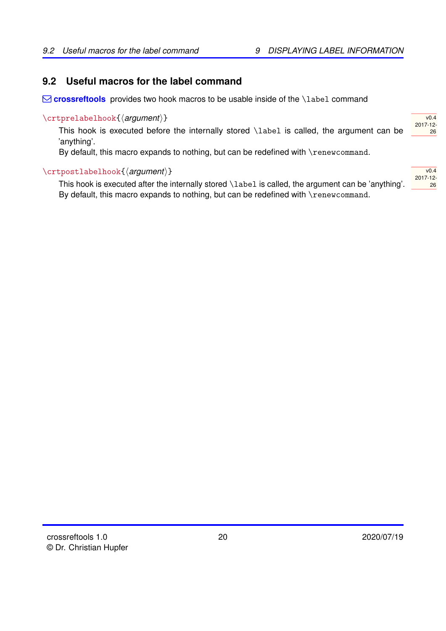### <span id="page-19-3"></span><span id="page-19-0"></span>**9.2 Useful macros for the label command**

 $\Box$  **crossreftools** provides two hook macros to be usable inside of the \label command

#### <span id="page-19-1"></span>\crtprelabelhook{\*argument*}}

This hook is executed before the internally stored \label is called, the argument can be 'anything'.

By default, this macro expands to nothing, but can be redefined with \renewcommand.

#### <span id="page-19-2"></span>\crtpostlabelhook{\argument\}

This hook is executed after the internally stored \label is called, the argument can be 'anything'. By default, this macro expands to nothing, but can be redefined with \renewcommand.

| v0.4     |
|----------|
| 2017-12- |
| 26       |
|          |

 $v0.4$ 2017-12- 26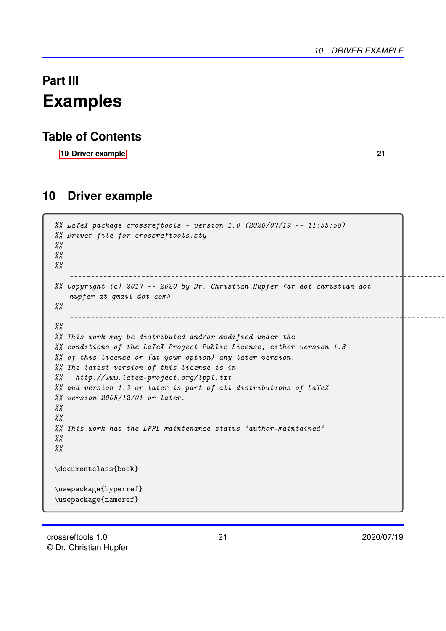# <span id="page-20-0"></span>**Part III Examples**

### **Table of Contents**

**[10 Driver example](#page-20-1) 21**

### <span id="page-20-1"></span>**10 Driver example**

```
%% LaTeX package crossreftools - version 1.0 (2020/07/19 -- 11:55:58)
%% Driver file for crossreftools.sty
\frac{\%}{\%}\frac{\gamma}{\alpha}\frac{\%}{\%}-------------------------------------------------------------------------------------------
%% Copyright (c) 2017 -- 2020 by Dr. Christian Hupfer <dr dot christian dot
    hupfer at gmail dot com>
\frac{\%}{\%}-------------------------------------------------------------------------------------------
\frac{\gamma}{\kappa}%% This work may be distributed and/or modified under the
%% conditions of the LaTeX Project Public License, either version 1.3
%% of this license or (at your option) any later version.
%% The latest version of this license is in
%% http://www.latex-project.org/lppl.txt
%% and version 1.3 or later is part of all distributions of LaTeX
%% version 2005/12/01 or later.
\frac{\%}{\%}\frac{\gamma}{\alpha}%% This work has the LPPL maintenance status 'author-maintained'
\frac{\%}{\%}\frac{\gamma}{\alpha}\documentclass{book}
\usepackage{hyperref}
\usepackage{nameref}
```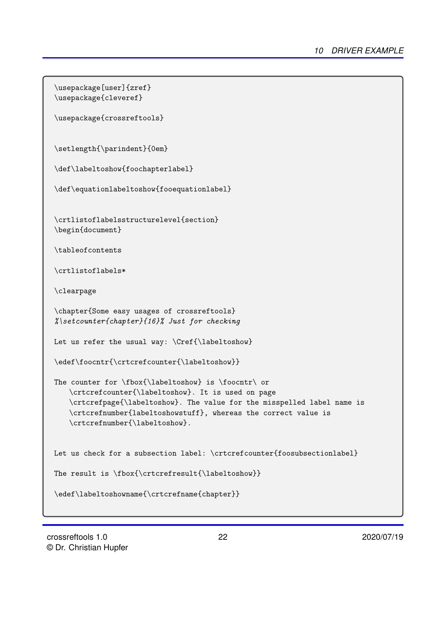```
\usepackage[user]{zref}
\usepackage{cleveref}
\usepackage{crossreftools}
\setlength{\parindent}{0em}
\def\labeltoshow{foochapterlabel}
\def\equationlabeltoshow{fooequationlabel}
\crtlistoflabelsstructurelevel{section}
\begin{document}
\tableofcontents
\crtlistoflabels*
\clearpage
\chapter{Some easy usages of crossreftools}
%\setcounter{chapter}{16}% Just for checking
Let us refer the usual way: \Cref{\label{labeltoshow}\edef\foocntr{\crtcrefcounter{\labeltoshow}}
The counter for \fbox{\label{labels} is \of} The counter for \fbox{\label{labels} is \of}\crtcrefcounter{\labeltoshow}. It is used on page
   \crtcrefpage{\labeltoshow}. The value for the misspelled label name is
   \crtcrefnumber{labeltoshowstuff}, whereas the correct value is
   \crtcrefnumber{\labeltoshow}.
Let us check for a subsection label: \crtcrefcounter{foosubsectionlabel}
The result is \fbox{\crtcrefresult{\labeltoshow}}
\edef\labeltoshowname{\crtcrefname{chapter}}
```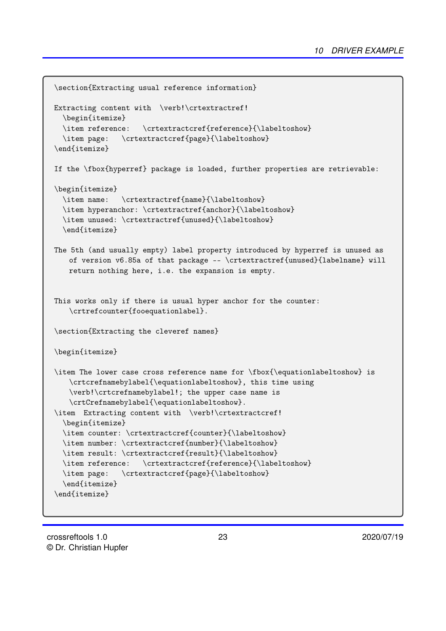```
\section{Extracting usual reference information}
Extracting content with \verb!\crtextractref!
  \begin{itemize}
  \item reference: \crtextractcref{reference}{\labeltoshow}
  \item page: \crtextractcref{page}{\labeltoshow}
\end{itemize}
If the \fbox{hyperref} package is loaded, further properties are retrievable:
\begin{itemize}
  \item name: \crtextractref{name}{\labeltoshow}
  \item hyperanchor: \crtextractref{anchor}{\labeltoshow}
  \item unused: \crtextractref{unused}{\labeltoshow}
  \end{itemize}
The 5th (and usually empty) label property introduced by hyperref is unused as
   of version v6.85a of that package -- \crtextractref{unused}{labelname} will
   return nothing here, i.e. the expansion is empty.
This works only if there is usual hyper anchor for the counter:
   \crtrefcounter{fooequationlabel}.
\section{Extracting the cleveref names}
\begin{itemize}
\item The lower case cross reference name for \fbox{\equationlabeltoshow} is
   \crtcrefnamebylabel{\equationlabeltoshow}, this time using
   \verb!\crtcrefnamebylabel!; the upper case name is
   \crtCrefnamebylabel{\equationlabeltoshow}.
\item Extracting content with \verb!\crtextractcref!
  \begin{itemize}
  \item counter: \crtextractcref{counter}{\labeltoshow}
  \item number: \crtextractcref{number}{\labeltoshow}
  \item result: \crtextractcref{result}{\labeltoshow}
  \item reference: \crtextractcref{reference}{\labeltoshow}
  \item page: \crtextractcref{page}{\labeltoshow}
  \end{itemize}
\end{itemize}
```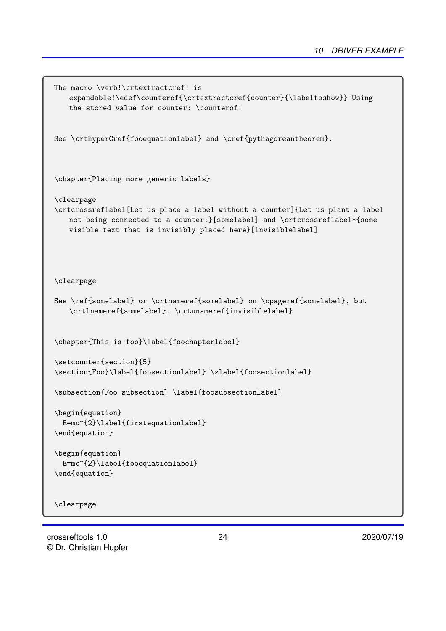```
The macro \verb!\crtextractcref! is
   expandable!\edef\counterof{\crtextractcref{counter}{\labeltoshow}} Using
   the stored value for counter: \counterof!
See \crthyperCref{fooequationlabel} and \cref{pythagoreantheorem}.
\chapter{Placing more generic labels}
\clearpage
\crtcrossreflabel[Let us place a label without a counter]{Let us plant a label
   not being connected to a counter:}[somelabel] and \crtcrossreflabel*{some
   visible text that is invisibly placed here}[invisiblelabel]
\clearpage
See \ref{somelabel} or \crtnameref{somelabel} on \cpageref{somelabel}, but
   \crtlnameref{somelabel}. \crtunameref{invisiblelabel}
\chapter{This is foo}\label{foochapterlabel}
\setcounter{section}{5}
\section{Foo}\label{foosectionlabel} \zlabel{foosectionlabel}
\subsection{Foo subsection} \label{foosubsectionlabel}
\begin{equation}
  E=mc^{2}\label{firstequationlabel}
\end{equation}
\begin{equation}
  E=mc^{2}\label{fooequationlabel}
\end{equation}
\clearpage
```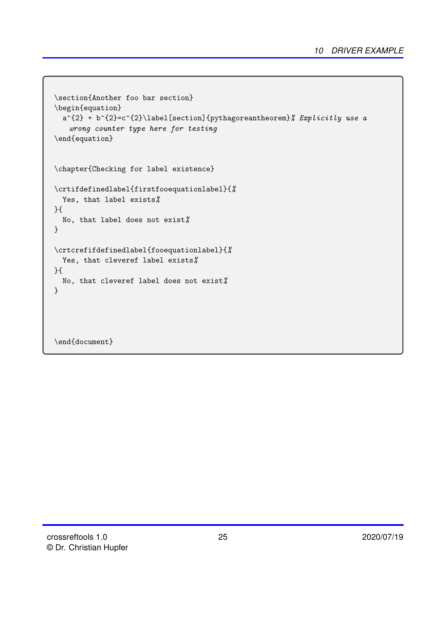```
\section{Another foo bar section}
\begin{equation}
  a^{2} + b^{2} = c^{2}\label{eq:2} and y the section of y and z and z and z and z and z and z and z and z and z and z and z and z and z and z and z and z and z and z and z and z and z and
    wrong counter type here for testing
\end{equation}
\chapter{Checking for label existence}
\crtifdefinedlabel{firstfooequationlabel}{%
  Yes, that label exists%
}{
  No, that label does not exist%
}
\crtcrefifdefinedlabel{fooequationlabel}{%
  Yes, that cleveref label exists%
}{
  No, that cleveref label does not exist%
}
\end{document}
```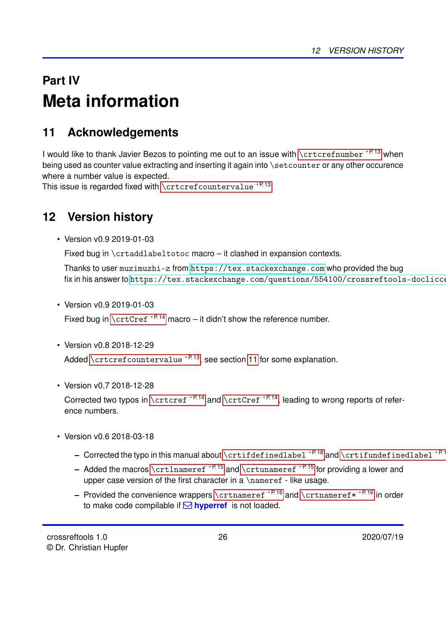# <span id="page-25-3"></span><span id="page-25-0"></span>**Part IV Meta information**

# <span id="page-25-1"></span>**11 Acknowledgements**

I would like to thank Javier Bezos to pointing me out to an issue with [\crtcrefnumber](#page-12-2)<sup>→ P.13</sup> when being used as counter value extracting and inserting it again into \setcounter or any other occurence where a number value is expected.

This issue is regarded fixed with  $\zeta$   $\zeta$   $\zeta$   $\zeta$   $\zeta$   $\zeta$ 

# <span id="page-25-2"></span>**12 Version history**

• Version v0.9 2019-01-03

Fixed bug in \crtaddlabeltotoc macro – it clashed in expansion contexts.

Thanks to user muzimuzhi-z from <https://tex.stackexchange.com> who provided the bug fix in his answer to https://tex.stackexchange.com/questions/554100/crossreftools-doclicce

• Version v0.9 2019-01-03

Fixed bug in  $\c{crtCref}$ <sup>-P. 14</sup> macro – it didn't show the reference number.

• Version v0.8 2018-12-29

Added [\crtcrefcountervalue](#page-12-3)<sup>→ P.13</sup>, see section [11](#page-25-1) for some explanation.

• Version v0.7 2018-12-28

Corrected two typos in  $\c{rtcref}$ <sup>+P.14</sup> and  $\c{rtcref}$ <sup>+P.14</sup>, leading to wrong reports of reference numbers.

- Version v0.6 2018-03-18
	- **–** Corrected the typo in this manual about [\crtifdefinedlabel](#page-17-2)<sup>→</sup> P. 18 and [\crtifundefinedlabel](#page-17-3)<sup>→</sup> P. 18
	- **–** Added the macros [\crtlnameref](#page-14-6)<sup>→</sup> P. 15 and [\crtunameref](#page-14-8)<sup>→</sup> P. 15 for providing a lower and upper case version of the first character in a  $\name{ref}$  - like usage.
	- **–** Provided the convenience wrappers [\crtnameref](#page-15-1)<sup>→</sup> P. 16 and [\crtnameref\\*](#page-15-2)<sup>→</sup> P. 16 in order to make code compilable if  $\Box$  **hyperref** is not loaded.

26 2020/07/19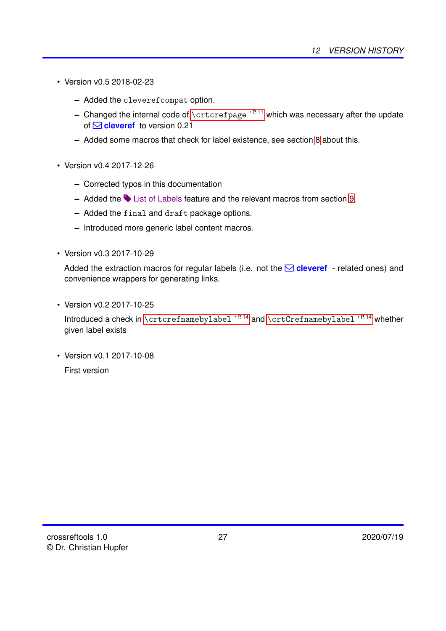- <span id="page-26-0"></span>• Version v0.5 2018-02-23
	- **–** Added the cleverefcompat option.
	- **–** Changed the internal code of [\crtcrefpage](#page-10-3)<sup>→</sup> P. 11 which was necessary after the update of **○ cleveref** to version 0.21
	- **–** Added some macros that check for label existence, see section [8](#page-17-0) about this.
- Version v0.4 2017-12-26
	- **–** Corrected typos in this documentation
	- **–** Added the # List of Labels feature and the relevant macros from section [9.](#page-17-1)
	- **–** Added the final and draft package options.
	- **–** Introduced more generic label content macros.
- Version v0.3 2017-10-29

Added the extraction macros for regular labels (i.e. not the  $\Box$  **cleveref** - related ones) and convenience wrappers for generating links.

• Version v0.2 2017-10-25

Introduced a check in [\crtcrefnamebylabel](#page-13-3)<sup>→P.14</sup> and [\crtCrefnamebylabel](#page-13-4)<sup>→P.14</sup> whether given label exists

• Version v0.1 2017-10-08 First version